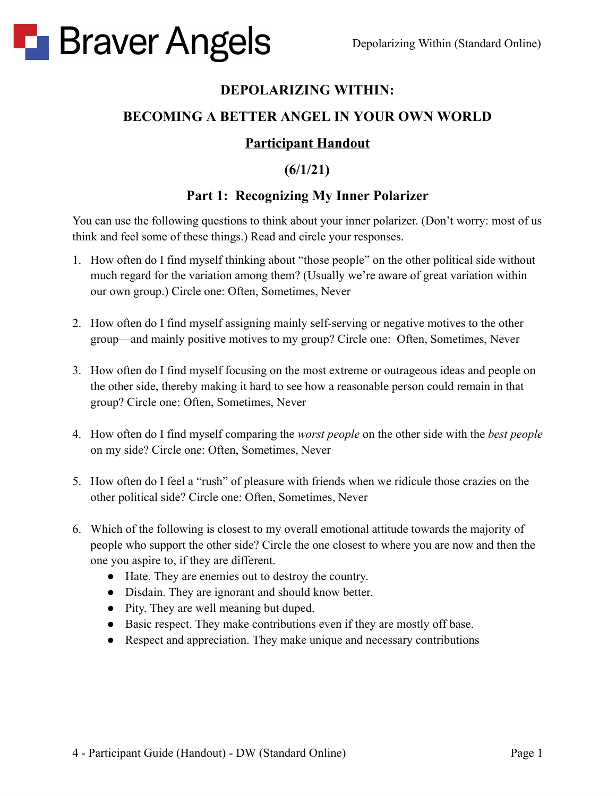

#### **DEPOLARIZING WITHIN:**

#### **BECOMING A BETTER ANGEL IN YOUR OWN WORLD**

#### **Participant Handout**

### **(6/1/21)**

#### **Part 1: Recognizing My Inner Polarizer**

You can use the following questions to think about your inner polarizer. (Don't worry: most of us think and feel some of these things.) Read and circle your responses.

- 1. How often do I find myself thinking about "those people" on the other political side without much regard for the variation among them? (Usually we're aware of great variation within our own group.) Circle one: Often, Sometimes, Never
- 2. How often do I find myself assigning mainly self-serving or negative motives to the other group—and mainly positive motives to my group? Circle one: Often, Sometimes, Never
- 3. How often do I find myself focusing on the most extreme or outrageous ideas and people on the other side, thereby making it hard to see how a reasonable person could remain in that group? Circle one: Often, Sometimes, Never
- 4. How often do I find myself comparing the *worst people* on the other side with the *best people* on my side? Circle one: Often, Sometimes, Never
- 5. How often do I feel a "rush" of pleasure with friends when we ridicule those crazies on the other political side? Circle one: Often, Sometimes, Never
- 6. Which of the following is closest to my overall emotional attitude towards the majority of people who support the other side? Circle the one closest to where you are now and then the one you aspire to, if they are different.
	- **●** Hate. They are enemies out to destroy the country.
	- **●** Disdain. They are ignorant and should know better.
	- **●** Pity. They are well meaning but duped.
	- **●** Basic respect. They make contributions even if they are mostly off base.
	- Respect and appreciation. They make unique and necessary contributions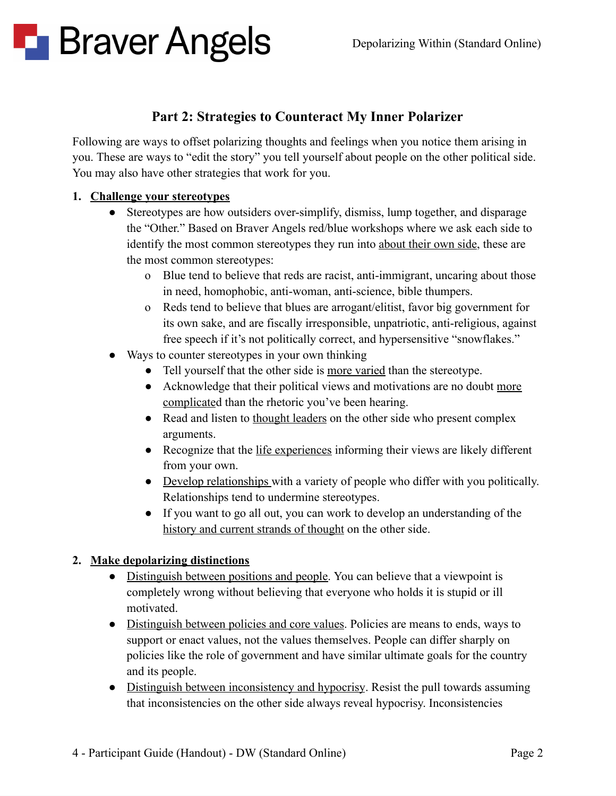#### **Part 2: Strategies to Counteract My Inner Polarizer**

Following are ways to offset polarizing thoughts and feelings when you notice them arising in you. These are ways to "edit the story" you tell yourself about people on the other political side. You may also have other strategies that work for you.

#### **1. Challenge your stereotypes**

- Stereotypes are how outsiders over-simplify, dismiss, lump together, and disparage the "Other." Based on Braver Angels red/blue workshops where we ask each side to identify the most common stereotypes they run into about their own side, these are the most common stereotypes:
	- o Blue tend to believe that reds are racist, anti-immigrant, uncaring about those in need, homophobic, anti-woman, anti-science, bible thumpers.
	- o Reds tend to believe that blues are arrogant/elitist, favor big government for its own sake, and are fiscally irresponsible, unpatriotic, anti-religious, against free speech if it's not politically correct, and hypersensitive "snowflakes."
- Ways to counter stereotypes in your own thinking
	- Tell yourself that the other side is more varied than the stereotype.
	- Acknowledge that their political views and motivations are no doubt more complicated than the rhetoric you've been hearing.
	- Read and listen to thought leaders on the other side who present complex arguments.
	- Recognize that the life experiences informing their views are likely different from your own.
	- Develop relationships with a variety of people who differ with you politically. Relationships tend to undermine stereotypes.
	- If you want to go all out, you can work to develop an understanding of the history and current strands of thought on the other side.

#### **2. Make depolarizing distinctions**

- Distinguish between positions and people. You can believe that a viewpoint is completely wrong without believing that everyone who holds it is stupid or ill motivated.
- Distinguish between policies and core values. Policies are means to ends, ways to support or enact values, not the values themselves. People can differ sharply on policies like the role of government and have similar ultimate goals for the country and its people.
- Distinguish between inconsistency and hypocrisy. Resist the pull towards assuming that inconsistencies on the other side always reveal hypocrisy. Inconsistencies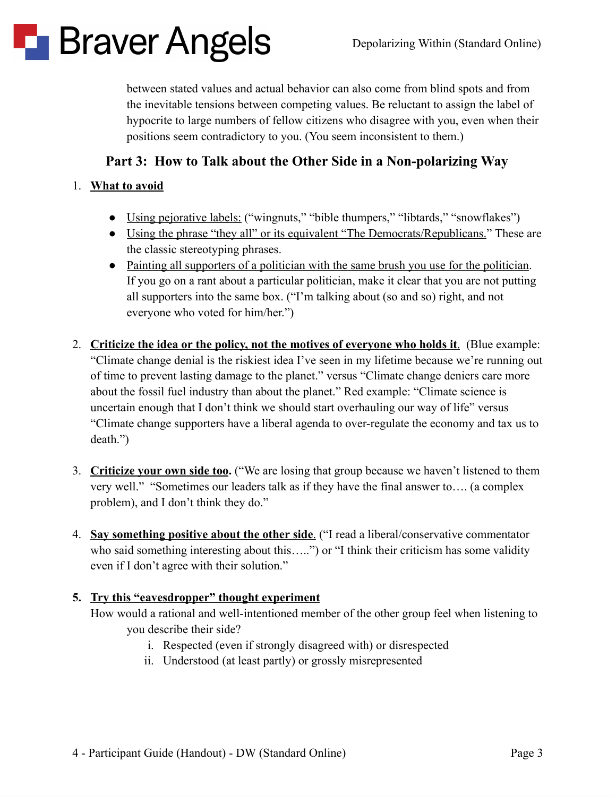

between stated values and actual behavior can also come from blind spots and from the inevitable tensions between competing values. Be reluctant to assign the label of hypocrite to large numbers of fellow citizens who disagree with you, even when their positions seem contradictory to you. (You seem inconsistent to them.)

#### **Part 3: How to Talk about the Other Side in a Non-polarizing Way**

#### 1. **What to avoid**

- Using pejorative labels: ("wingnuts," "bible thumpers," "libtards," "snowflakes")
- Using the phrase "they all" or its equivalent "The Democrats/Republicans." These are the classic stereotyping phrases.
- Painting all supporters of a politician with the same brush you use for the politician. If you go on a rant about a particular politician, make it clear that you are not putting all supporters into the same box. ("I'm talking about (so and so) right, and not everyone who voted for him/her.")
- 2. **Criticize the idea or the policy, not the motives of everyone who holds it**. (Blue example: "Climate change denial is the riskiest idea I've seen in my lifetime because we're running out of time to prevent lasting damage to the planet." versus "Climate change deniers care more about the fossil fuel industry than about the planet." Red example: "Climate science is uncertain enough that I don't think we should start overhauling our way of life" versus "Climate change supporters have a liberal agenda to over-regulate the economy and tax us to death.")
- 3. **Criticize your own side too.** ("We are losing that group because we haven't listened to them very well." "Sometimes our leaders talk as if they have the final answer to…. (a complex problem), and I don't think they do."
- 4. **Say something positive about the other side**. ("I read a liberal/conservative commentator who said something interesting about this…..") or "I think their criticism has some validity even if I don't agree with their solution."

#### **5. Try this "eavesdropper" thought experiment**

How would a rational and well-intentioned member of the other group feel when listening to you describe their side?

- i. Respected (even if strongly disagreed with) or disrespected
- ii. Understood (at least partly) or grossly misrepresented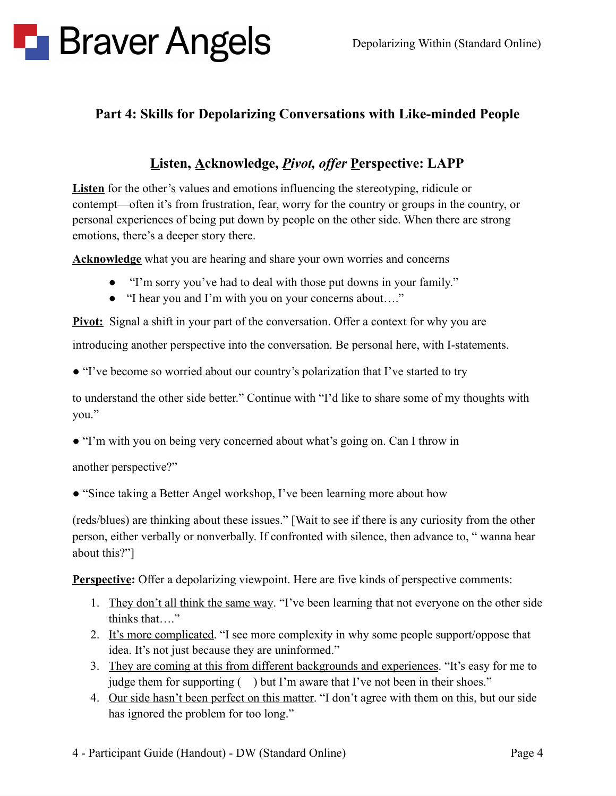#### **Part 4: Skills for Depolarizing Conversations with Like-minded People**

#### **Listen, Acknowledge,** *Pivot, of er* **Perspective: LAPP**

**Listen** for the other's values and emotions influencing the stereotyping, ridicule or contempt—often it's from frustration, fear, worry for the country or groups in the country, or personal experiences of being put down by people on the other side. When there are strong emotions, there's a deeper story there.

**Acknowledge** what you are hearing and share your own worries and concerns

- "I'm sorry you've had to deal with those put downs in your family."
- "I hear you and I'm with you on your concerns about…."

**Pivot:** Signal a shift in your part of the conversation. Offer a context for why you are

introducing another perspective into the conversation. Be personal here, with I-statements.

● "I've become so worried about our country's polarization that I've started to try

to understand the other side better." Continue with "I'd like to share some of my thoughts with you."

● "I'm with you on being very concerned about what's going on. Can I throw in

another perspective?"

• "Since taking a Better Angel workshop, I've been learning more about how

(reds/blues) are thinking about these issues." [Wait to see if there is any curiosity from the other person, either verbally or nonverbally. If confronted with silence, then advance to, " wanna hear about this?"]

**Perspective:** Offer a depolarizing viewpoint. Here are five kinds of perspective comments:

- 1. They don't all think the same way. "I've been learning that not everyone on the other side thinks that…."
- 2. It's more complicated. "I see more complexity in why some people support/oppose that idea. It's not just because they are uninformed."
- 3. They are coming at this from different backgrounds and experiences. "It's easy for me to judge them for supporting ( ) but I'm aware that I've not been in their shoes."
- 4. Our side hasn't been perfect on this matter. "I don't agree with them on this, but our side has ignored the problem for too long."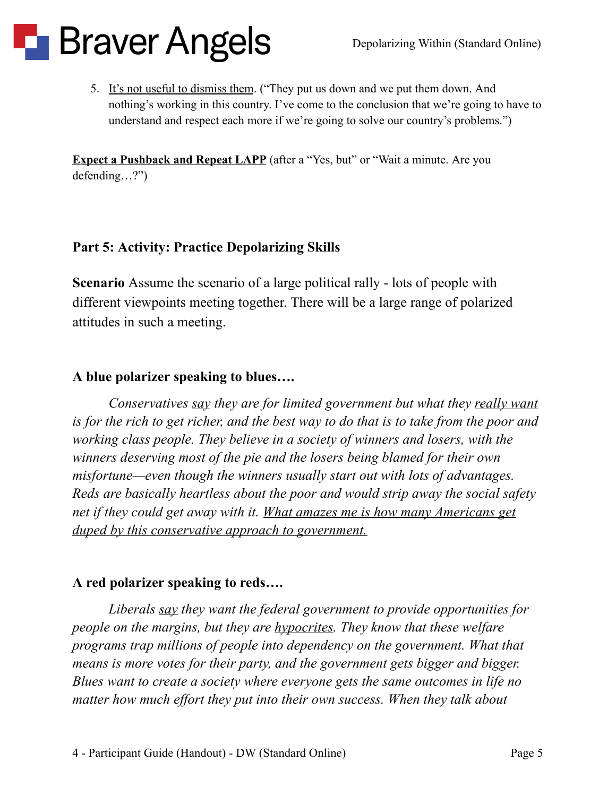5. It's not useful to dismiss them. ("They put us down and we put them down. And nothing's working in this country. I've come to the conclusion that we're going to have to understand and respect each more if we're going to solve our country's problems.")

**Expect a Pushback and Repeat LAPP** (after a "Yes, but" or "Wait a minute. Are you defending…?")

#### **Part 5: Activity: Practice Depolarizing Skills**

**Scenario** Assume the scenario of a large political rally - lots of people with different viewpoints meeting together. There will be a large range of polarized attitudes in such a meeting.

#### **A blue polarizer speaking to blues….**

*Conservatives say they are for limited government but what they really want* is for the rich to get richer, and the best way to do that is to take from the poor and *working class people. They believe in a society of winners and losers, with the winners deserving most of the pie and the losers being blamed for their own misfortune—even though the winners usually start out with lots of advantages. Reds are basically heartless about the poor and would strip away the social safety net if they could get away with it. What amazes me is how many Americans get duped by this conservative approach to government.*

### **A red polarizer speaking to reds….**

*Liberals say they want the federal government to provide opportunities for people on the margins, but they are hypocrites. They know that these welfare programs trap millions of people into dependency on the government. What that means is more votes for their party, and the government gets bigger and bigger. Blues want to create a society where everyone gets the same outcomes in life no matter how much ef ort they put into their own success. When they talk about*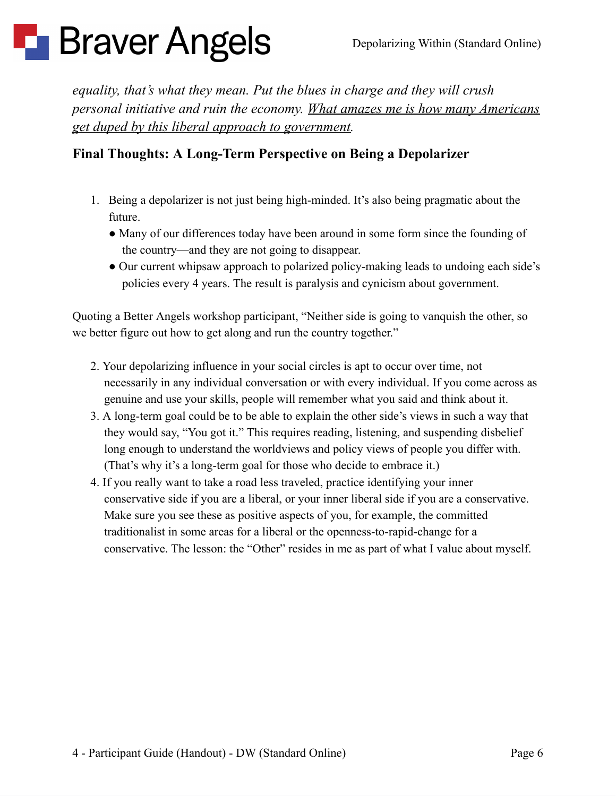*equality, that's what they mean. Put the blues in charge and they will crush personal initiative and ruin the economy. What amazes me is how many Americans get duped by this liberal approach to government.*

### **Final Thoughts: A Long-Term Perspective on Being a Depolarizer**

- 1. Being a depolarizer is not just being high-minded. It's also being pragmatic about the future.
	- Many of our differences today have been around in some form since the founding of the country—and they are not going to disappear.
	- Our current whipsaw approach to polarized policy-making leads to undoing each side's policies every 4 years. The result is paralysis and cynicism about government.

Quoting a Better Angels workshop participant, "Neither side is going to vanquish the other, so we better figure out how to get along and run the country together."

- 2. Your depolarizing influence in your social circles is apt to occur over time, not necessarily in any individual conversation or with every individual. If you come across as genuine and use your skills, people will remember what you said and think about it.
- 3. A long-term goal could be to be able to explain the other side's views in such a way that they would say, "You got it." This requires reading, listening, and suspending disbelief long enough to understand the worldviews and policy views of people you differ with. (That's why it's a long-term goal for those who decide to embrace it.)
- 4. If you really want to take a road less traveled, practice identifying your inner conservative side if you are a liberal, or your inner liberal side if you are a conservative. Make sure you see these as positive aspects of you, for example, the committed traditionalist in some areas for a liberal or the openness-to-rapid-change for a conservative. The lesson: the "Other" resides in me as part of what I value about myself.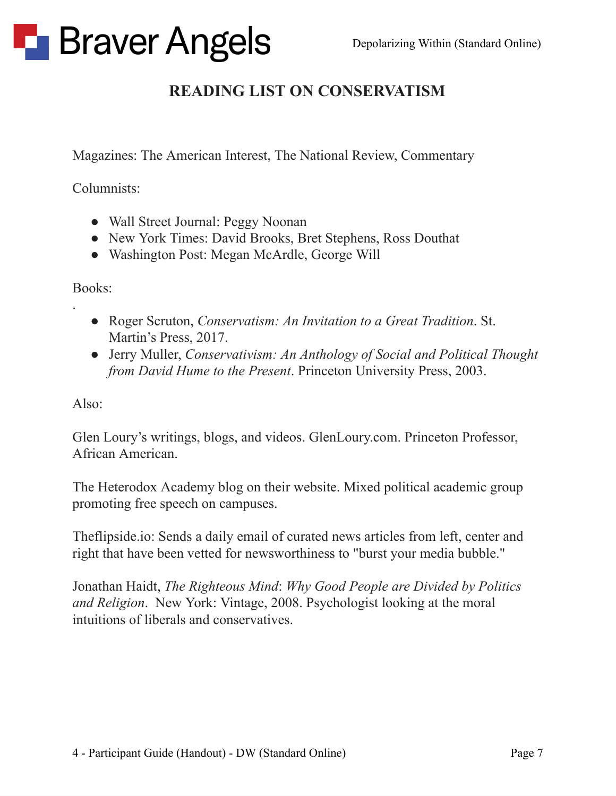### **READING LIST ON CONSERVATISM**

Magazines: The American Interest, The National Review, Commentary

Columnists:

- Wall Street Journal: Peggy Noonan
- New York Times: David Brooks, Bret Stephens, Ross Douthat
- Washington Post: Megan McArdle, George Will

Books:

.

- Roger Scruton, *Conservatism: An Invitation to a Great Tradition*. St. Martin's Press, 2017.
- Jerry Muller, *Conservativism: An Anthology of Social and Political Thought from David Hume to the Present*. Princeton University Press, 2003.

Also:

Glen Loury's writings, blogs, and videos. GlenLoury.com. Princeton Professor, African American.

The Heterodox Academy blog on their website. Mixed political academic group promoting free speech on campuses.

Theflipside.io: Sends a daily email of curated news articles from left, center and right that have been vetted for newsworthiness to "burst your media bubble."

Jonathan Haidt, *The Righteous Mind*: *Why Good People are Divided by Politics and Religion*. New York: Vintage, 2008. Psychologist looking at the moral intuitions of liberals and conservatives.